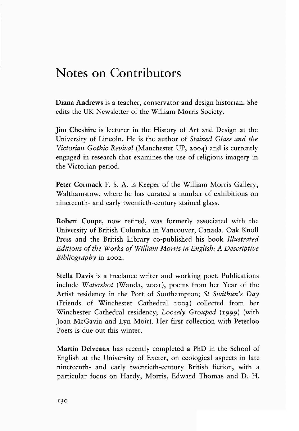## **Notes on Contributors**

Diana Andrews is a teacher, conservator and design historian. She edits the UK Newsletter of the William Morris Society.

Jim Cheshire is lecturer in the History of Art and Design at the University of Lincoln. He is the author of *Stained Glass and the Victorian Gothic Revival* (Manchester UP, 2004) and is currently engaged in research that examines the use of religious imagery in the Victorian period.

Peter Cormack F. S. A. is Keeper of the William Morris Gallery, Walthamstow, where he has curated a number of exhibitions on nineteenth- and early twentieth·century stained glass.

Robert Coupe, now retired, was formerly associated with the University of British Columbia in Vancouver, Canada. Oak Knoll Press and the British Library co-published his book *Illustrated Editions of the Works of William Morris in English: A Descriptive Bibliography* in 2002.

Stella Davis is a freelance writer and working poet. Publications include *Watershot* (Wanda, 2001), poems from her Year of the Artist residency in the Port of Southampton; *St Swithun's Day*  (Friends of Winchester Cathedral 2003) collected from her Winchester Cathedral residency; *Loosely Grouped* (1999) (with Joan McGavin and Lyn Moir). Her first collection with Peterloo Poets is due out this winter.

Martin Delveaux has recently completed a PhD in the School of English at the University of Exeter, on ecological aspects in late nineteenth· and early twentieth-century British fiction, with a particular focus on Hardy, Morris, Edward Thomas and D. H.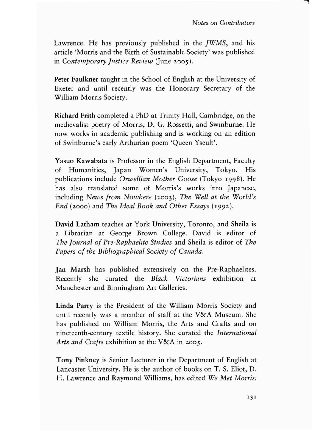Lawrence. He has previously published in the *jWMS,* and his article 'Morris and the Birth of Sustainable Society' was published in *Contemporary justice Review* (June 2005).

Peter Faulkner taught in the School of English at the University of Exeter and until recently was the Honorary Secretary of the William Morris Society.

Richard Frith completed a PhD at Trinity Hall, Cambridge, on the medievalist poetry of Morris, D. G. Rosserri, and Swinburne. He now works in academic publishing and is working on an edition of Swinburne's early Arthurian poem 'Queen Yseult'.

Yasuo Kawabata is Professor in the English Department, Faculty of Humanities, Japan Women's University, Tokyo. His publications include *Orwellian Mother Goose* (Tokyo I998). He has also translated some of Morris's works into Japanese, including *News from Nowhere* (2003), *The Well at the World's End* (2000) and *The Ideal Book and Other Essays* (I992).

David Latham teaches at York University, Toronto, and Sheila is a Librarian at George Brown College. David is editor of *The journal of Pre-Raphaelite Studies* and Sheila is editor of *The Papers of the Bibliographical Society of Canada.* 

lan Marsh has published extensively on the Pre-Raphaelites. Recently she curated the *Black Victorians* exhibition at Manchester and Birmingham Art Galleries.

Linda Parry is the President of the William Morris Society and until recently was a member of staff at the V&A Museum. She has published on William Morris, the Arts and Crafts and on nineteenth-century textile history. She curated the *International Arts and Crafts* exhibition at the V&A in 2005.

Tony Pinkney is Senior Lecturer in the Department of English at Lancaster University. He is the author of books on T. S. Eliot, D. H. Lawrence and Raymond Williams, has edited *We Met Morris:*